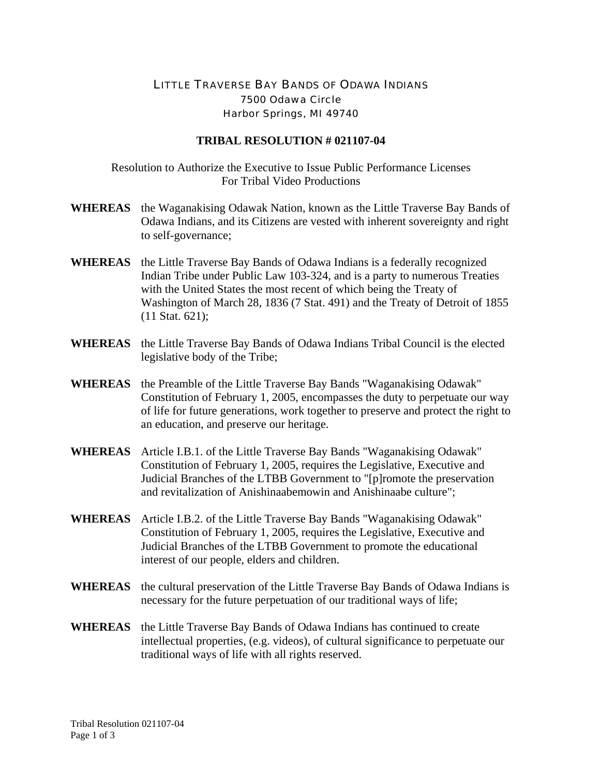## LITTLE TRAVERSE BAY BANDS OF ODAWA INDIANS 7500 Odawa Circle Harbor Springs, MI 49740

## **TRIBAL RESOLUTION # 021107-04**

Resolution to Authorize the Executive to Issue Public Performance Licenses For Tribal Video Productions

- **WHEREAS** the Waganakising Odawak Nation, known as the Little Traverse Bay Bands of Odawa Indians, and its Citizens are vested with inherent sovereignty and right to self-governance;
- **WHEREAS** the Little Traverse Bay Bands of Odawa Indians is a federally recognized Indian Tribe under Public Law 103-324, and is a party to numerous Treaties with the United States the most recent of which being the Treaty of Washington of March 28, 1836 (7 Stat. 491) and the Treaty of Detroit of 1855 (11 Stat. 621);
- **WHEREAS** the Little Traverse Bay Bands of Odawa Indians Tribal Council is the elected legislative body of the Tribe;
- **WHEREAS** the Preamble of the Little Traverse Bay Bands "Waganakising Odawak" Constitution of February 1, 2005, encompasses the duty to perpetuate our way of life for future generations, work together to preserve and protect the right to an education, and preserve our heritage.
- **WHEREAS** Article I.B.1. of the Little Traverse Bay Bands "Waganakising Odawak" Constitution of February 1, 2005, requires the Legislative, Executive and Judicial Branches of the LTBB Government to "[p]romote the preservation and revitalization of Anishinaabemowin and Anishinaabe culture";
- **WHEREAS** Article I.B.2. of the Little Traverse Bay Bands "Waganakising Odawak" Constitution of February 1, 2005, requires the Legislative, Executive and Judicial Branches of the LTBB Government to promote the educational interest of our people, elders and children.
- **WHEREAS** the cultural preservation of the Little Traverse Bay Bands of Odawa Indians is necessary for the future perpetuation of our traditional ways of life;
- **WHEREAS** the Little Traverse Bay Bands of Odawa Indians has continued to create intellectual properties, (e.g. videos), of cultural significance to perpetuate our traditional ways of life with all rights reserved.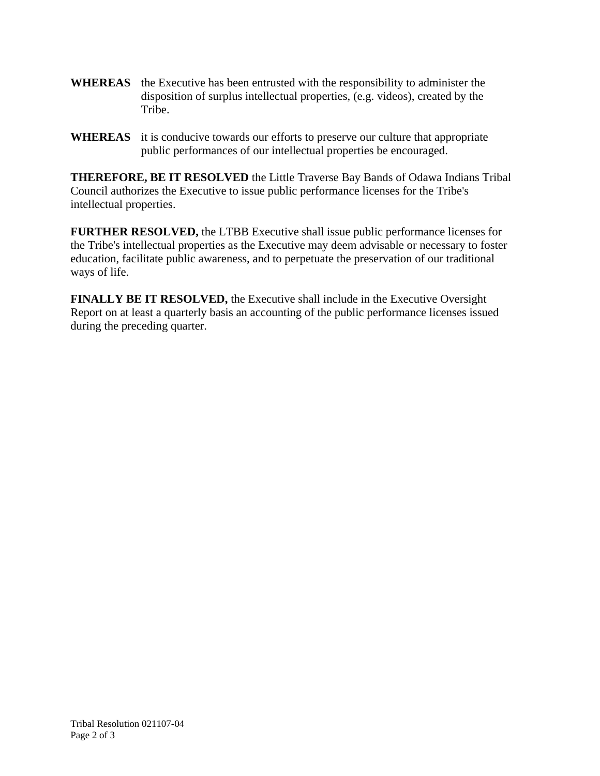- **WHEREAS** the Executive has been entrusted with the responsibility to administer the disposition of surplus intellectual properties, (e.g. videos), created by the Tribe.
- **WHEREAS** it is conducive towards our efforts to preserve our culture that appropriate public performances of our intellectual properties be encouraged.

**THEREFORE, BE IT RESOLVED** the Little Traverse Bay Bands of Odawa Indians Tribal Council authorizes the Executive to issue public performance licenses for the Tribe's intellectual properties.

**FURTHER RESOLVED,** the LTBB Executive shall issue public performance licenses for the Tribe's intellectual properties as the Executive may deem advisable or necessary to foster education, facilitate public awareness, and to perpetuate the preservation of our traditional ways of life.

**FINALLY BE IT RESOLVED,** the Executive shall include in the Executive Oversight Report on at least a quarterly basis an accounting of the public performance licenses issued during the preceding quarter.